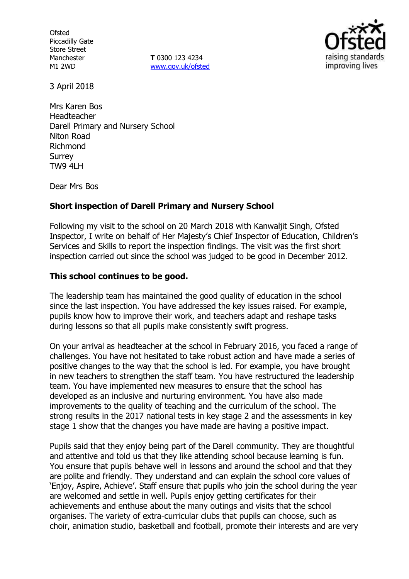**Ofsted** Piccadilly Gate Store Street Manchester M1 2WD

**T** 0300 123 4234 www.gov.uk/ofsted



3 April 2018

Mrs Karen Bos Headteacher Darell Primary and Nursery School Niton Road Richmond Surrey TW9 4LH

Dear Mrs Bos

### **Short inspection of Darell Primary and Nursery School**

Following my visit to the school on 20 March 2018 with Kanwaljit Singh, Ofsted Inspector, I write on behalf of Her Majesty's Chief Inspector of Education, Children's Services and Skills to report the inspection findings. The visit was the first short inspection carried out since the school was judged to be good in December 2012.

#### **This school continues to be good.**

The leadership team has maintained the good quality of education in the school since the last inspection. You have addressed the key issues raised. For example, pupils know how to improve their work, and teachers adapt and reshape tasks during lessons so that all pupils make consistently swift progress.

On your arrival as headteacher at the school in February 2016, you faced a range of challenges. You have not hesitated to take robust action and have made a series of positive changes to the way that the school is led. For example, you have brought in new teachers to strengthen the staff team. You have restructured the leadership team. You have implemented new measures to ensure that the school has developed as an inclusive and nurturing environment. You have also made improvements to the quality of teaching and the curriculum of the school. The strong results in the 2017 national tests in key stage 2 and the assessments in key stage 1 show that the changes you have made are having a positive impact.

Pupils said that they enjoy being part of the Darell community. They are thoughtful and attentive and told us that they like attending school because learning is fun. You ensure that pupils behave well in lessons and around the school and that they are polite and friendly. They understand and can explain the school core values of 'Enjoy, Aspire, Achieve'. Staff ensure that pupils who join the school during the year are welcomed and settle in well. Pupils enjoy getting certificates for their achievements and enthuse about the many outings and visits that the school organises. The variety of extra-curricular clubs that pupils can choose, such as choir, animation studio, basketball and football, promote their interests and are very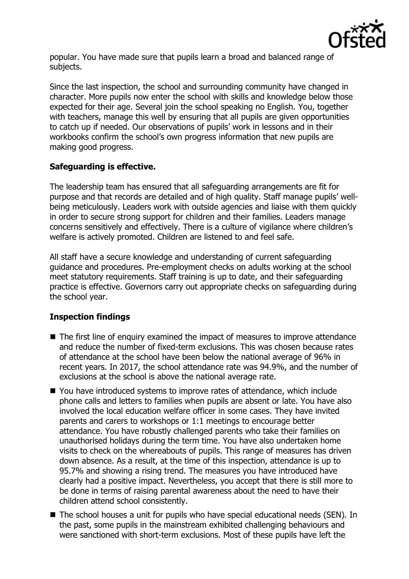

popular. You have made sure that pupils learn a broad and balanced range of subjects.

Since the last inspection, the school and surrounding community have changed in character. More pupils now enter the school with skills and knowledge below those expected for their age. Several join the school speaking no English. You, together with teachers, manage this well by ensuring that all pupils are given opportunities to catch up if needed. Our observations of pupils' work in lessons and in their workbooks confirm the school's own progress information that new pupils are making good progress.

# **Safeguarding is effective.**

The leadership team has ensured that all safeguarding arrangements are fit for purpose and that records are detailed and of high quality. Staff manage pupils' wellbeing meticulously. Leaders work with outside agencies and liaise with them quickly in order to secure strong support for children and their families. Leaders manage concerns sensitively and effectively. There is a culture of vigilance where children's welfare is actively promoted. Children are listened to and feel safe.

All staff have a secure knowledge and understanding of current safeguarding guidance and procedures. Pre-employment checks on adults working at the school meet statutory requirements. Staff training is up to date, and their safeguarding practice is effective. Governors carry out appropriate checks on safeguarding during the school year.

# **Inspection findings**

- The first line of enquiry examined the impact of measures to improve attendance and reduce the number of fixed-term exclusions. This was chosen because rates of attendance at the school have been below the national average of 96% in recent years. In 2017, the school attendance rate was 94.9%, and the number of exclusions at the school is above the national average rate.
- You have introduced systems to improve rates of attendance, which include phone calls and letters to families when pupils are absent or late. You have also involved the local education welfare officer in some cases. They have invited parents and carers to workshops or 1:1 meetings to encourage better attendance. You have robustly challenged parents who take their families on unauthorised holidays during the term time. You have also undertaken home visits to check on the whereabouts of pupils. This range of measures has driven down absence. As a result, at the time of this inspection, attendance is up to 95.7% and showing a rising trend. The measures you have introduced have clearly had a positive impact. Nevertheless, you accept that there is still more to be done in terms of raising parental awareness about the need to have their children attend school consistently.
- The school houses a unit for pupils who have special educational needs (SEN). In the past, some pupils in the mainstream exhibited challenging behaviours and were sanctioned with short-term exclusions. Most of these pupils have left the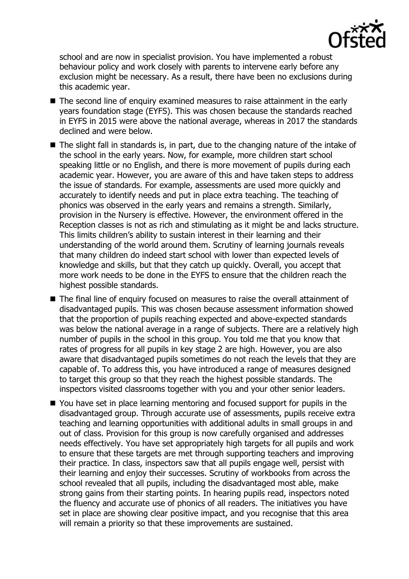

school and are now in specialist provision. You have implemented a robust behaviour policy and work closely with parents to intervene early before any exclusion might be necessary. As a result, there have been no exclusions during this academic year.

- The second line of enquiry examined measures to raise attainment in the early years foundation stage (EYFS). This was chosen because the standards reached in EYFS in 2015 were above the national average, whereas in 2017 the standards declined and were below.
- The slight fall in standards is, in part, due to the changing nature of the intake of the school in the early years. Now, for example, more children start school speaking little or no English, and there is more movement of pupils during each academic year. However, you are aware of this and have taken steps to address the issue of standards. For example, assessments are used more quickly and accurately to identify needs and put in place extra teaching. The teaching of phonics was observed in the early years and remains a strength. Similarly, provision in the Nursery is effective. However, the environment offered in the Reception classes is not as rich and stimulating as it might be and lacks structure. This limits children's ability to sustain interest in their learning and their understanding of the world around them. Scrutiny of learning journals reveals that many children do indeed start school with lower than expected levels of knowledge and skills, but that they catch up quickly. Overall, you accept that more work needs to be done in the EYFS to ensure that the children reach the highest possible standards.
- The final line of enquiry focused on measures to raise the overall attainment of disadvantaged pupils. This was chosen because assessment information showed that the proportion of pupils reaching expected and above-expected standards was below the national average in a range of subjects. There are a relatively high number of pupils in the school in this group. You told me that you know that rates of progress for all pupils in key stage 2 are high. However, you are also aware that disadvantaged pupils sometimes do not reach the levels that they are capable of. To address this, you have introduced a range of measures designed to target this group so that they reach the highest possible standards. The inspectors visited classrooms together with you and your other senior leaders.
- You have set in place learning mentoring and focused support for pupils in the disadvantaged group. Through accurate use of assessments, pupils receive extra teaching and learning opportunities with additional adults in small groups in and out of class. Provision for this group is now carefully organised and addresses needs effectively. You have set appropriately high targets for all pupils and work to ensure that these targets are met through supporting teachers and improving their practice. In class, inspectors saw that all pupils engage well, persist with their learning and enjoy their successes. Scrutiny of workbooks from across the school revealed that all pupils, including the disadvantaged most able, make strong gains from their starting points. In hearing pupils read, inspectors noted the fluency and accurate use of phonics of all readers. The initiatives you have set in place are showing clear positive impact, and you recognise that this area will remain a priority so that these improvements are sustained.